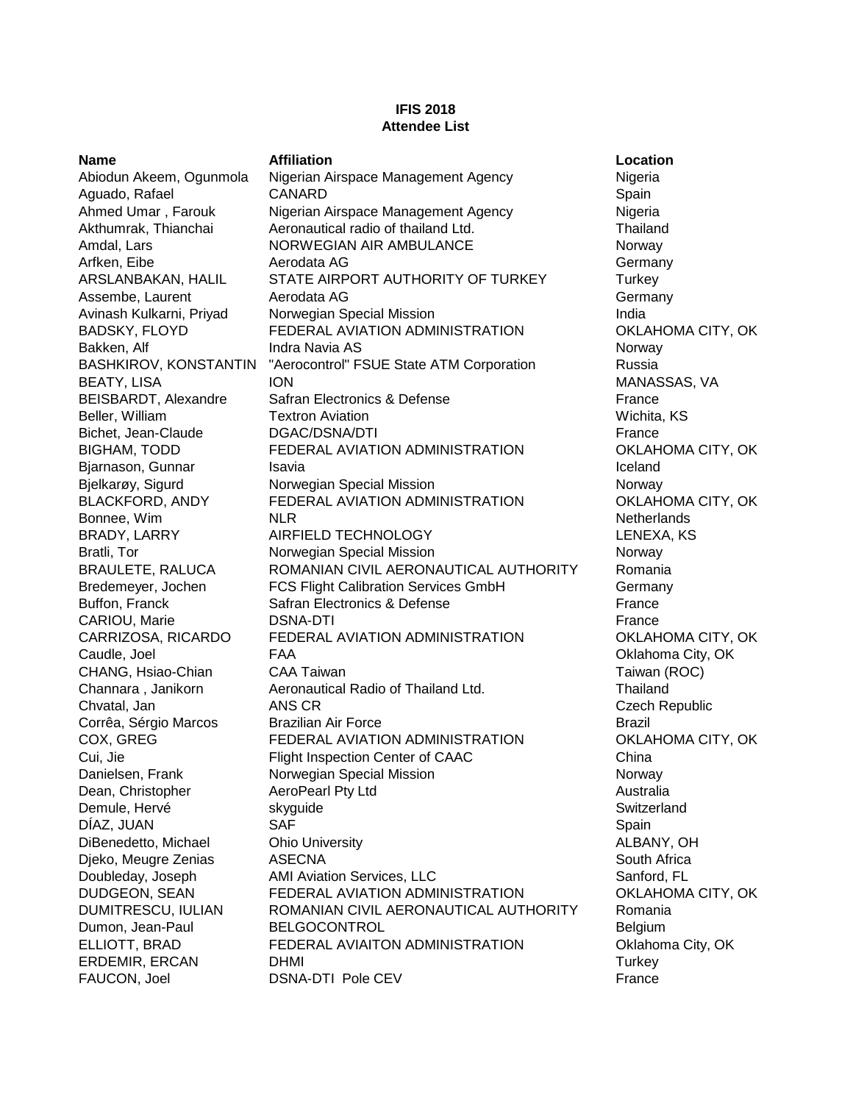## **IFIS 2018 Attendee List**

FAUCON, Joel **DSNA-DTI Pole CEV France** 

**Name Affiliation Location** Abiodun Akeem, Ogunmola Nigerian Airspace Management Agency Nigeria Aguado, Rafael **CANARD** CANARD Spain Ahmed Umar, Farouk Nigerian Airspace Management Agency Nigeria Akthumrak, Thianchai and Aeronautical radio of thailand Ltd. Thailand Thailand Amdal, Lars **NORWEGIAN AIR AMBULANCE** Norway Arfken, Eibe **Aerodata AG** Germany **And Account Account AG** Germany ARSLANBAKAN, HALIL STATE AIRPORT AUTHORITY OF TURKEY Turkey Assembe, Laurent **Aerodata AG** Germany **Agent Agent Agent AG** Germany Avinash Kulkarni, Priyad Norwegian Special Mission India BADSKY, FLOYD FEDERAL AVIATION ADMINISTRATION OKLAHOMA CITY, OK Bakken, Alf **Indra Navia AS** Norway Norway BASHKIROV, KONSTANTIN "Aerocontrol" FSUE State ATM Corporation Russia BEATY, LISA ION MANASSAS, VA BEISBARDT, Alexandre Safran Electronics & Defense France France Beller, William **Textron Aviation** Wichita, KS Bichet, Jean-Claude **DGAC/DSNA/DTI Example 1** France BIGHAM, TODD FEDERAL AVIATION ADMINISTRATION OKLAHOMA CITY, OK Bjarnason, Gunnar Isavia Isavia Isavia Iceland Iceland Bjelkarøy, Sigurd **Norwegian Special Mission** Norway Norway BLACKFORD, ANDY FEDERAL AVIATION ADMINISTRATION OKLAHOMA CITY, OK Bonnee, Wim **NLR** NETHER NETHERLAND NETHERLAND NETHERLANDS BRADY, LARRY AIRFIELD TECHNOLOGY LENEXA, KS Bratli, Tor **Norwegian Special Mission** Norway Norway BRAULETE, RALUCA ROMANIAN CIVIL AERONAUTICAL AUTHORITY Romania Bredemeyer, Jochen **FCS Flight Calibration Services GmbH** Germany Buffon, Franck **Safran Electronics & Defense** France **France** France CARIOU, Marie **DISNA-DTI CARIOU**, Marie **CARIOU**, Marie **CARIOU** CARRIZOSA, RICARDO FEDERAL AVIATION ADMINISTRATION OKLAHOMA CITY, OK Caudle, Joel FAA Oklahoma City, OK CHANG, Hsiao-Chian CAA Taiwan Taiwan (ROC) Channara , Janikorn Aeronautical Radio of Thailand Ltd. Thailand Chvatal, Jan ANS CR Czech Republic Corrêa, Sérgio Marcos Brazilian Air Force Brazil COX, GREG FEDERAL AVIATION ADMINISTRATION OKLAHOMA CITY, OK Cui, Jie Flight Inspection Center of CAAC China Danielsen, Frank **Norwegian Special Mission** Norway Norway Dean, Christopher AeroPearl Pty Ltd Australia Demule, Hervé **skyguide** Switzerland Switzerland Switzerland Switzerland Switzerland Switzerland Switzerland Switzerland Switzerland Switzerland Switzerland Switzerland Switzerland Switzerland Switzerland Switzerland Switz DÍAZ, JUAN SAF SAF Spain DiBenedetto, Michael Ohio University ALBANY, OH Djeko, Meugre Zenias ASECNA South Africa Doubleday, Joseph AMI Aviation Services, LLC Sanford, FL DUDGEON, SEAN FEDERAL AVIATION ADMINISTRATION OKLAHOMA CITY, OK DUMITRESCU, IULIAN ROMANIAN CIVIL AERONAUTICAL AUTHORITY Romania Dumon, Jean-Paul BELGOCONTROL Belgium ELLIOTT, BRAD FEDERAL AVIAITON ADMINISTRATION Oklahoma City, OK ERDEMIR, ERCAN DHMI DHMI Turkey NATURAL DHAI Turkey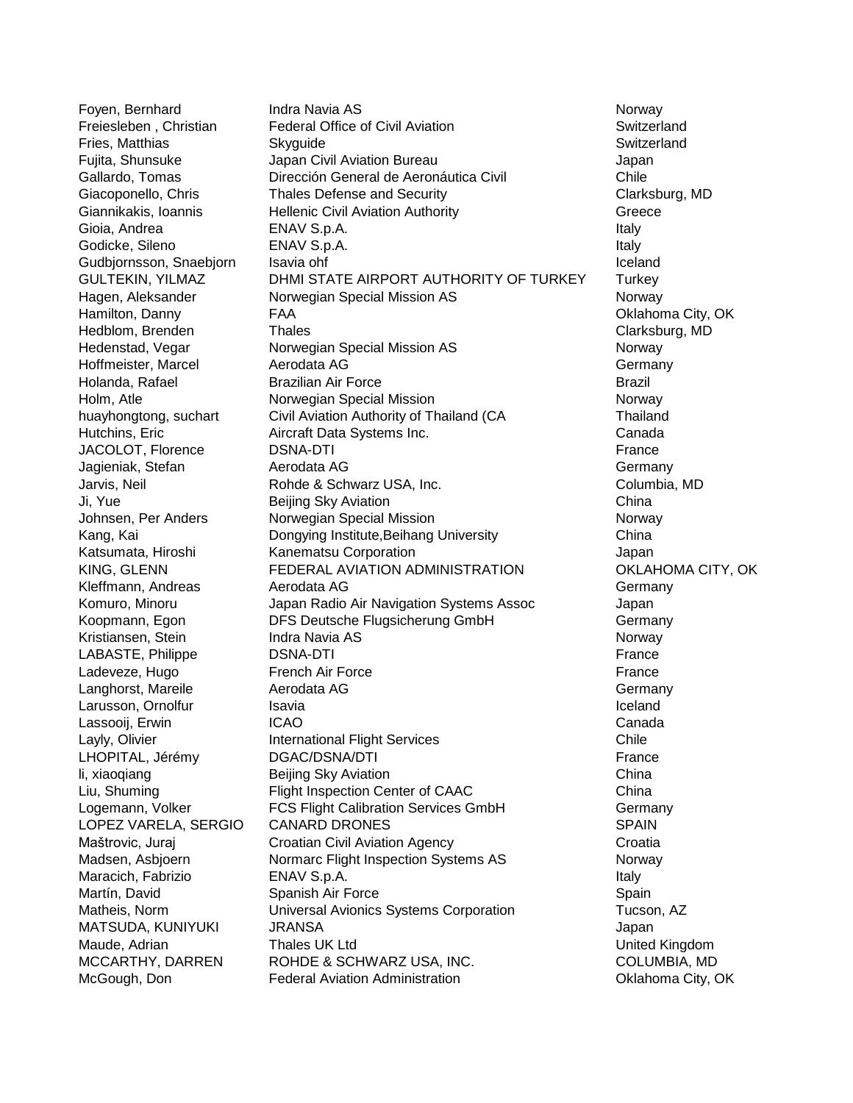Foyen, Bernhard **Indra Navia AS** Norway Norway Freiesleben , Christian Federal Office of Civil Aviation Switzerland Fries, Matthias **Skyguide Skyguide Switzerland** Switzerland Fujita, Shunsuke Japan Civil Aviation Bureau Japan Gallardo, Tomas Dirección General de Aeronáutica Civil Chile Giacoponello, Chris Thales Defense and Security Clarksburg, MD Giannikakis, Ioannis **Hellenic Civil Aviation Authority** Greece Gioia, Andrea **ENAV S.p.A.** Italy **CONFING ACCOMPTED ENGL** Godicke, Sileno **ENAV S.p.A.** Italy **ENAV S.p.A.** Italy **Italy** Gudbjornsson, Snaebjorn Isavia ohf Iceland Iceland Iceland GULTEKIN, YILMAZ DHMI STATE AIRPORT AUTHORITY OF TURKEY Turkey Hagen, Aleksander **Norwegian Special Mission AS** Norway Hamilton, Danny **FAA** Channel City, OK Channel City, OK Hedblom, Brenden Thales Clarksburg, MD Hedenstad, Vegar **Norwegian Special Mission AS** Norway Hoffmeister, Marcel **Aerodata AG** Germany **Germany** Holanda, Rafael Brazilian Air Force Brazil Holm, Atle **Norwegian Special Mission** Norway Norway huayhongtong, suchart Civil Aviation Authority of Thailand (CA Thailand Hutchins, Eric Aircraft Data Systems Inc. Canada JACOLOT, Florence **DSNA-DTI Example 1** France Jagieniak, Stefan **Aerodata AG** Germany **Aerodata AG** Germany Jarvis, Neil **Schwarz USA, Inc.** Columbia, MD Columbia, MD Ji, Yue Beijing Sky Aviation China Johnsen, Per Anders Norwegian Special Mission Norway Norway Kang, Kai Dongying Institute,Beihang University China Katsumata, Hiroshi Kanematsu Corporation **Matsumata**, Hiroshi Kanematsu Corporation Japan KING, GLENN FEDERAL AVIATION ADMINISTRATION OKLAHOMA CITY, OK Kleffmann, Andreas **Aerodata AG** Germany **Germany** Komuro, Minoru Japan Radio Air Navigation Systems Assoc Japan Koopmann, Egon **DFS Deutsche Flugsicherung GmbH** Germany Kristiansen, Stein **Indra Navia AS** Norway Norway LABASTE, Philippe **DSNA-DTI Example 1** DSNA-DTI Ladeveze, Hugo **French Air Force** France France France France France France France France France France France France France France France France France France France France France France France France France France France Langhorst, Mareile **Aerodata AG** Communication and Cermany Larusson, Ornolfur **Isavia** Isavia Iceland Iceland Iceland Lassooii, Erwin **ICAO** Canada Canada Canada Canada Canada Canada Canada Canada Canada Canada Canada Canada Canada Layly, Olivier **International Flight Services** Chile LHOPITAL, Jérémy DGAC/DSNA/DTI **Example 1999** France li, xiaoqiang **Beijing Sky Aviation** China Liu, Shuming Flight Inspection Center of CAAC China Logemann, Volker **FCS Flight Calibration Services GmbH** Germany LOPEZ VARELA, SERGIO CANARD DRONES SPAIN SPAIN Maštrovic, Juraj Croatian Civil Aviation Agency Croatia Madsen, Asbjoern **Normarc Flight Inspection Systems AS** Norway Maracich, Fabrizio **ENAV S.p.A.** Italy **Italy** Italy Martín, David Spanish Air Force Spain Matheis, Norm Universal Avionics Systems Corporation Tucson, AZ MATSUDA, KUNIYUKI JRANSA Japan Maude, Adrian Thales UK Ltd United Kingdom MCCARTHY, DARREN ROHDE & SCHWARZ USA, INC. COLUMBIA, MD McGough, Don **Federal Aviation Administration** Chronic Change City, OK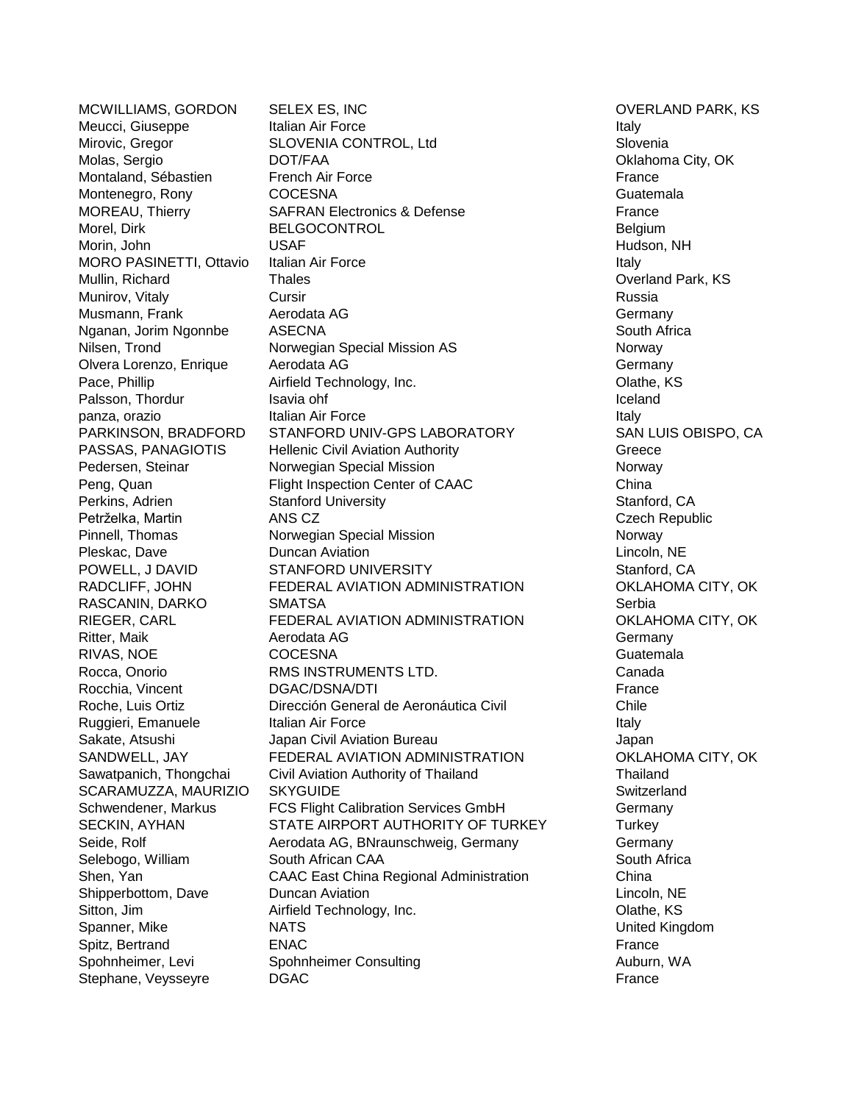MCWILLIAMS, GORDON SELEX ES, INC OVERLAND PARK, KS Meucci, Giuseppe Italian Air Force Italy Neucci, Giuseppe Italy Mirovic, Gregor SLOVENIA CONTROL, Ltd Slovenia Molas, Sergio **DOT/FAA** DOT/FAA Oklahoma City, OK Montaland, Sébastien French Air Force **France** France Montenegro, Rony COCESNA Guatemala MOREAU, Thierry **SAFRAN Electronics & Defense** France Morel, Dirk BELGOCONTROL BELGOCONTROL Belgium Morin, John USAF Hudson, NH MORO PASINETTI, Ottavio Italian Air Force Italy Italy Italy Mullin, Richard **Thales Thales** Thales **Thales Thales** Thales **Thales Thales Thales Thales Coverland Park, KS** Munirov, Vitaly **Cursir Cursir Russia** Russia Musmann, Frank **Aerodata AG** Germany **Agent Agent AG** Germany Nganan, Jorim Ngonnbe ASECNA South Africa Nilsen, Trond **Norwegian Special Mission AS** Norway Olvera Lorenzo, Enrique Aerodata AG Correspondent and Germany Pace, Phillip **Airfield Technology, Inc.** Communist Clathe, KS Palsson, Thordur **Isavia ohf** Iceland Iceland Iceland Iceland Iceland Iceland Iceland Iceland Iceland Iceland Iceland panza, orazio **Italian Air Force** Italian Air Force Italy Italy PARKINSON, BRADFORD STANFORD UNIV-GPS LABORATORY SAN LUIS OBISPO, CA PASSAS, PANAGIOTIS Hellenic Civil Aviation Authority Creece Pedersen, Steinar **Norwegian Special Mission** Norway Norway Peng, Quan Flight Inspection Center of CAAC China Perkins, Adrien Stanford University **Standall Stanford, CA** Petrželka, Martin ANS CZ Czech Republic Pinnell, Thomas **Norwegian Special Mission** Norway Norway Pleskac, Dave **Duncan Aviation** Lincoln, NE POWELL, J DAVID STANFORD UNIVERSITY Stanford, CA RADCLIFF, JOHN FEDERAL AVIATION ADMINISTRATION OKLAHOMA CITY, OK RASCANIN, DARKO SMATSA SERBIA Serbia RIEGER, CARL FEDERAL AVIATION ADMINISTRATION OKLAHOMA CITY, OK Ritter, Maik **Aerodata AG** Germany **Agent Agent AG** Germany RIVAS, NOE COCESNA Guatemala Rocca, Onorio RMS INSTRUMENTS LTD. Canada Rocchia, Vincent **DGAC/DSNA/DTI France** Roche, Luis Ortiz Dirección General de Aeronáutica Civil Chile Ruggieri, Emanuele Italian Air Force Italy Italy Sakate, Atsushi **Japan Civil Aviation Bureau** Japan Japan SANDWELL, JAY FEDERAL AVIATION ADMINISTRATION COKLAHOMA CITY, OK Sawatpanich, Thongchai Civil Aviation Authority of Thailand Thailand Thailand SCARAMUZZA, MAURIZIO SKYGUIDE SWITZER SWITZERLAND Switzerland Schwendener, Markus FCS Flight Calibration Services GmbH Germany SECKIN, AYHAN STATE AIRPORT AUTHORITY OF TURKEY Turkey Seide, Rolf **Agent Aerodata AG, BNraunschweig, Germany** Germany Selebogo, William South African CAA South African CAA South Africa Shen, Yan CAAC East China Regional Administration China Shipperbottom, Dave Duncan Aviation Lincoln, NE Sitton, Jim **Airfield Technology, Inc.** Clathe, KS Spanner, Mike NATS United Kingdom Spitz, Bertrand **ENAC** ENAC **France** ENAC Spohnheimer, Levi **Spohnheimer Consulting Auburn, Consulting Auburn**, WA Stephane, Veysseyre **DGAC France Example 1 France France France France**